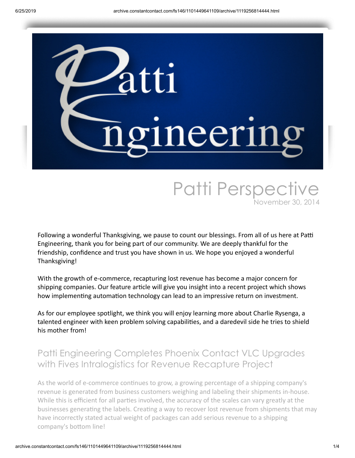

# Patti Perspective November 30, 2014

Following a wonderful Thanksgiving, we pause to count our blessings. From all of us here at Patti Engineering, thank you for being part of our community. We are deeply thankful for the friendship, confidence and trust you have shown in us. We hope you enjoyed a wonderful Thanksgiving!

With the growth of e-commerce, recapturing lost revenue has become a major concern for shipping companies. Our feature article will give you insight into a recent project which shows how implementing automation technology can lead to an impressive return on investment.

As for our employee spotlight, we think you will enjoy learning more about Charlie Rysenga, a talented engineer with keen problem solving capabilities, and a daredevil side he tries to shield his mother from!

## Patti Engineering Completes Phoenix Contact VLC Upgrades with Fives Intralogistics for Revenue Recapture Project

As the world of e-commerce continues to grow, a growing percentage of a shipping company's revenue is generated from business customers weighing and labeling their shipments in-house. While this is efficient for all parties involved, the accuracy of the scales can vary greatly at the businesses generating the labels. Creating a way to recover lost revenue from shipments that may have incorrectly stated actual weight of packages can add serious revenue to a shipping company's bottom line!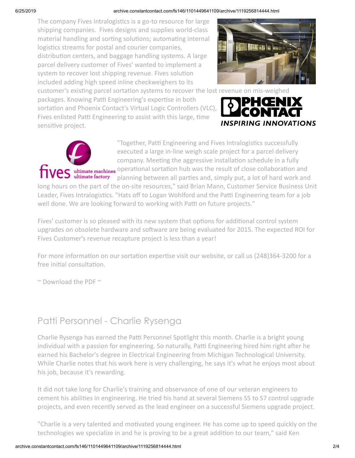#### 6/25/2019 archive.constantcontact.com/fs146/1101449641109/archive/1119256814444.html

The company Fives Intralogistics is a go-to resource for large shipping companies. Fives designs and supplies world-class material handling and sorting solutions; automating internal logistics streams for postal and courier companies, distribution centers, and baggage handling systems. A large parcel delivery customer of Fives' wanted to implement a system to recover lost shipping revenue. Fives solution included adding high speed inline checkweighers to its



customer's existing parcel sortation systems to recover the lost revenue on mis-weighed

packages. Knowing Patti Engineering's expertise in both sortation and Phoenix Contact's Virtual Logic Controllers (VLC), Fives enlisted Patti Engineering to assist with this large, time sensitive project.





"Together, Patti Engineering and Fives Intralogistics successfully executed a large in-line weigh scale project for a parcel delivery company. Meeting the aggressive installation schedule in a fully operational sortation hub was the result of close collaboration and planning between all parties and, simply put, a lot of hard work and

long hours on the part of the on-site resources," said Brian Mann, Customer Service Business Unit Leader, Fives Intralogistics. "Hats off to Logan Wohlford and the Patti Engineering team for a job well done. We are looking forward to working with Patti on future projects."

Fives' customer is so pleased with its new system that options for additional control system upgrades on obsolete hardware and software are being evaluated for 2015. The expected ROI for Fives Customer's revenue recapture project is less than a year!

For more information on our sortation expertise visit our [website](http://pattiengineering.com/expertise/garment-parcel-sortation/?utm_source=Patti+Perspective_November+30_2014&utm_campaign=Newsletter+November+2014&utm_medium=email), or call us (248)364-3200 for a free initial consultation.

 $\sim$  [Download](https://mlsvc01-prod.s3.amazonaws.com/59cb3837001/887de36a-8559-4263-a72d-a46b4f126965.pdf?utm_source=Patti+Perspective_November+30_2014&utm_campaign=Newsletter+November+2014&utm_medium=email) the PDF  $\sim$ 

### Patti Personnel - Charlie Rysenga

Charlie Rysenga has earned the Patti Personnel Spotlight this month. Charlie is a bright young individual with a passion for engineering. So naturally, Patti Engineering hired him right after he earned his Bachelor's degree in Electrical Engineering from Michigan Technological University. While Charlie notes that his work here is very challenging, he says it's what he enjoys most about his job, because it's rewarding.

It did not take long for Charlie's training and observance of one of our veteran engineers to cement his abilities in engineering. He tried his hand at several Siemens S5 to S7 control upgrade projects, and even recently served as the lead engineer on a successful Siemens upgrade project.

"Charlie is a very talented and motivated young engineer. He has come up to speed quickly on the technologies we specialize in and he is proving to be a great addition to our team," said Ken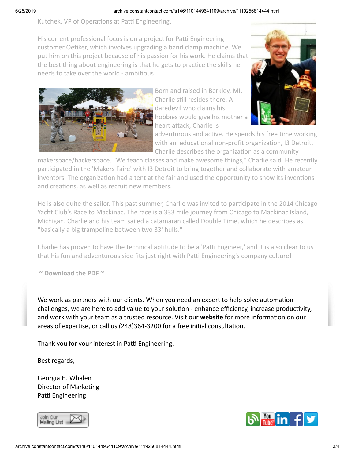#### 6/25/2019 archive.constantcontact.com/fs146/1101449641109/archive/1119256814444.html

Kutchek, VP of Operations at Patti Engineering.

His current professional focus is on a project for Patti Engineering customer Oetiker, which involves upgrading a band clamp machine. We put him on this project because of his passion for his work. He claims that the best thing about engineering is that he gets to practice the skills he needs to take over the world - ambitious!



Born and raised in Berkley, MI, Charlie still resides there. A daredevil who claims his hobbies would give his mother a heart attack, Charlie is



adventurous and active. He spends his free time working with an educational non-profit organization, I3 Detroit. Charlie describes the organization as a community

makerspace/hackerspace. "We teach classes and make awesome things," Charlie said. He recently participated in the 'Makers Faire' with I3 Detroit to bring together and collaborate with amateur inventors. The organization had a tent at the fair and used the opportunity to show its inventions and creations, as well as recruit new members.

He is also quite the sailor. This past summer, Charlie was invited to participate in the 2014 Chicago Yacht Club's Race to Mackinac. The race is a 333 mile journey from Chicago to Mackinac Island, Michigan. Charlie and his team sailed a catamaran called Double Time, which he describes as "basically a big trampoline between two 33' hulls."

Charlie has proven to have the technical aptitude to be a 'Patti Engineer,' and it is also clear to us that his fun and adventurous side fits just right with Patti Engineering's company culture!

**~ [Download](https://mlsvc01-prod.s3.amazonaws.com/59cb3837001/86cc543c-c272-4776-8f36-9fad4c009813.pdf?utm_source=Patti+Perspective_November+30_2014&utm_campaign=Newsletter+November+2014&utm_medium=email) the PDF ~**

We work as partners with our clients. When you need an expert to help solve automation challenges, we are here to add value to your solution - enhance efficiency, increase productivity, and work with your team as a trusted resource. Visit our **[website](http://www.pattieng.com/expertise.html?utm_source=Patti+Perspective_November+30_2014&utm_campaign=Newsletter+November+2014&utm_medium=email)** for more information on our areas of expertise, or call us (248)364-3200 for a free initial consultation.

Thank you for your interest in Patti Engineering.

Best regards,

Georgia H. Whalen Director of Marketing Patti Engineering